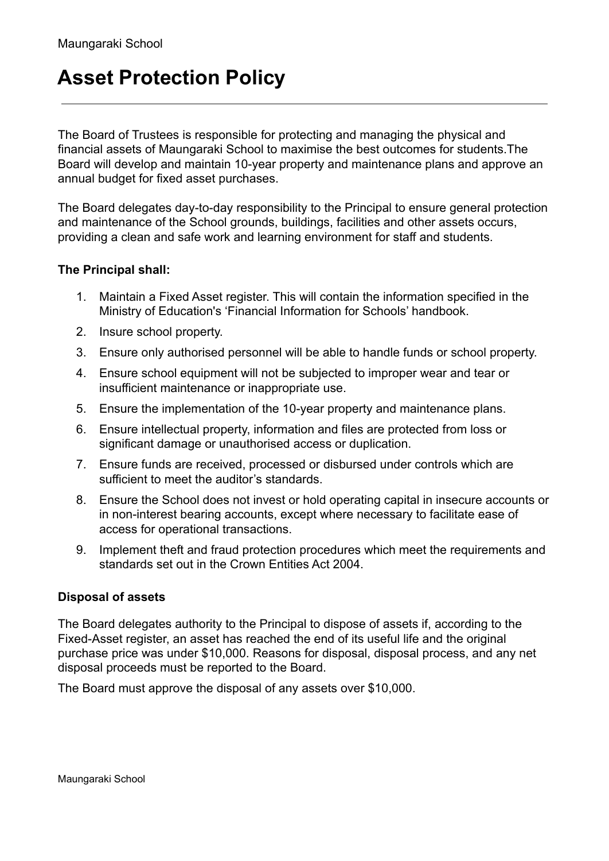## **Asset Protection Policy**

The Board of Trustees is responsible for protecting and managing the physical and financial assets of Maungaraki School to maximise the best outcomes for students.The Board will develop and maintain 10-year property and maintenance plans and approve an annual budget for fixed asset purchases.

The Board delegates day-to-day responsibility to the Principal to ensure general protection and maintenance of the School grounds, buildings, facilities and other assets occurs, providing a clean and safe work and learning environment for staff and students.

## **The Principal shall:**

- 1. Maintain a Fixed Asset register. This will contain the information specified in the Ministry of Education's 'Financial Information for Schools' handbook.
- 2. Insure school property.
- 3. Ensure only authorised personnel will be able to handle funds or school property.
- 4. Ensure school equipment will not be subjected to improper wear and tear or insufficient maintenance or inappropriate use.
- 5. Ensure the implementation of the 10-year property and maintenance plans.
- 6. Ensure intellectual property, information and files are protected from loss or significant damage or unauthorised access or duplication.
- 7. Ensure funds are received, processed or disbursed under controls which are sufficient to meet the auditor's standards.
- 8. Ensure the School does not invest or hold operating capital in insecure accounts or in non-interest bearing accounts, except where necessary to facilitate ease of access for operational transactions.
- 9. Implement theft and fraud protection procedures which meet the requirements and standards set out in the Crown Entities Act 2004.

## **Disposal of assets**

The Board delegates authority to the Principal to dispose of assets if, according to the Fixed-Asset register, an asset has reached the end of its useful life and the original purchase price was under \$10,000. Reasons for disposal, disposal process, and any net disposal proceeds must be reported to the Board.

The Board must approve the disposal of any assets over \$10,000.